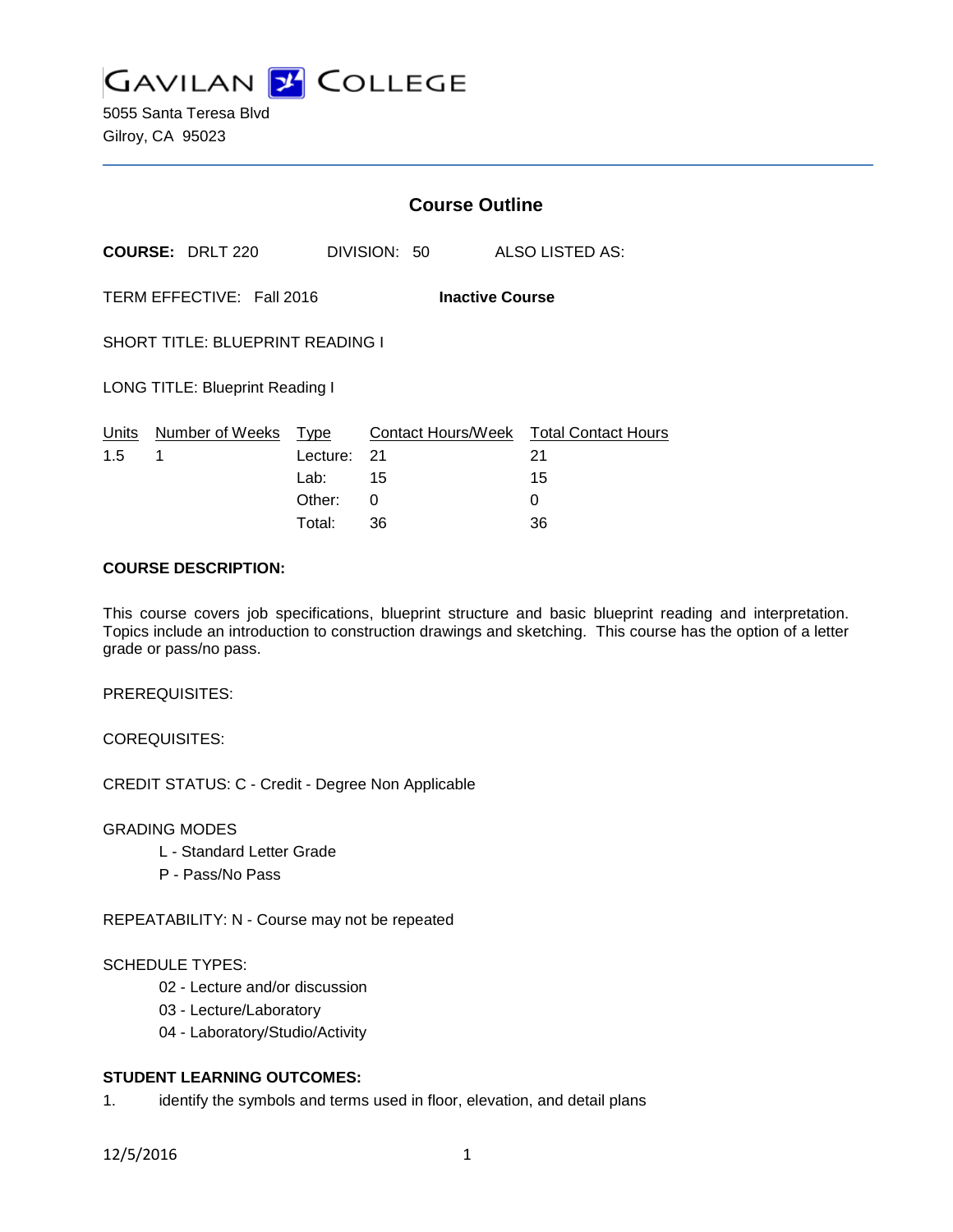

5055 Santa Teresa Blvd Gilroy, CA 95023

|                                                     |                                        | <b>Course Outline</b> |                                        |    |                 |  |
|-----------------------------------------------------|----------------------------------------|-----------------------|----------------------------------------|----|-----------------|--|
|                                                     | <b>COURSE: DRLT 220</b>                |                       | DIVISION: 50                           |    | ALSO LISTED AS: |  |
| TERM EFFECTIVE: Fall 2016<br><b>Inactive Course</b> |                                        |                       |                                        |    |                 |  |
| <b>SHORT TITLE: BLUEPRINT READING I</b>             |                                        |                       |                                        |    |                 |  |
|                                                     | <b>LONG TITLE: Blueprint Reading I</b> |                       |                                        |    |                 |  |
|                                                     | Units Number of Weeks                  | Type                  | Contact Hours/Week Total Contact Hours |    |                 |  |
| 1.5                                                 | 1                                      | Lecture: 21           |                                        | 21 |                 |  |
|                                                     |                                        | Lab:                  | - 15                                   | 15 |                 |  |
|                                                     |                                        | Other:                | 0                                      | 0  |                 |  |
|                                                     |                                        | Total:                | 36                                     | 36 |                 |  |

### **COURSE DESCRIPTION:**

This course covers job specifications, blueprint structure and basic blueprint reading and interpretation. Topics include an introduction to construction drawings and sketching. This course has the option of a letter grade or pass/no pass.

PREREQUISITES:

COREQUISITES:

CREDIT STATUS: C - Credit - Degree Non Applicable

#### GRADING MODES

- L Standard Letter Grade
- P Pass/No Pass

REPEATABILITY: N - Course may not be repeated

#### SCHEDULE TYPES:

- 02 Lecture and/or discussion
- 03 Lecture/Laboratory
- 04 Laboratory/Studio/Activity

# **STUDENT LEARNING OUTCOMES:**

1. identify the symbols and terms used in floor, elevation, and detail plans

12/5/2016 1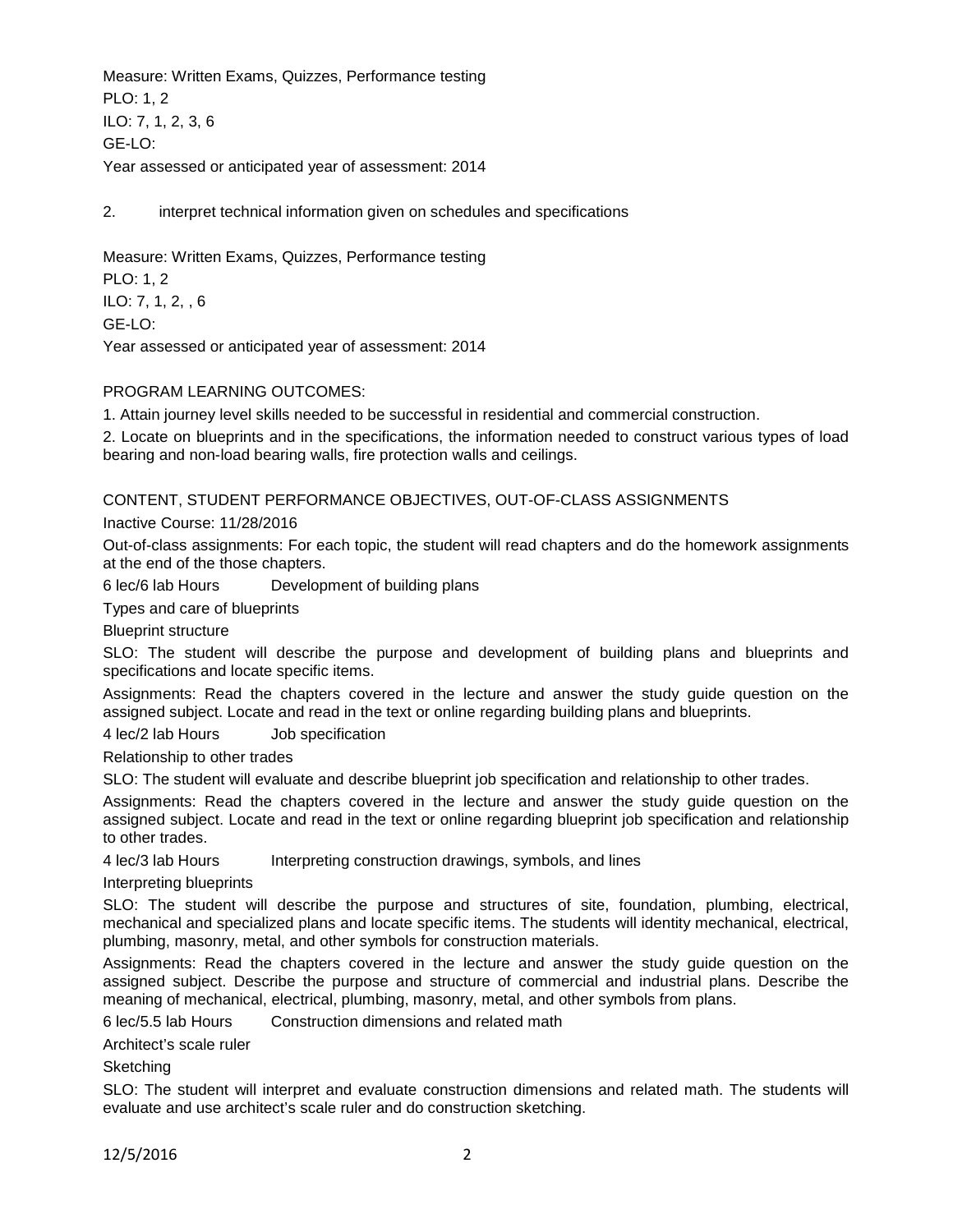Measure: Written Exams, Quizzes, Performance testing PLO: 1, 2 ILO: 7, 1, 2, 3, 6 GE-LO: Year assessed or anticipated year of assessment: 2014

2. interpret technical information given on schedules and specifications

Measure: Written Exams, Quizzes, Performance testing

PLO: 1, 2 ILO: 7, 1, 2, , 6 GE-LO: Year assessed or anticipated year of assessment: 2014

### PROGRAM LEARNING OUTCOMES:

1. Attain journey level skills needed to be successful in residential and commercial construction.

2. Locate on blueprints and in the specifications, the information needed to construct various types of load bearing and non-load bearing walls, fire protection walls and ceilings.

## CONTENT, STUDENT PERFORMANCE OBJECTIVES, OUT-OF-CLASS ASSIGNMENTS

Inactive Course: 11/28/2016

Out-of-class assignments: For each topic, the student will read chapters and do the homework assignments at the end of the those chapters.

6 lec/6 lab Hours Development of building plans

Types and care of blueprints

Blueprint structure

SLO: The student will describe the purpose and development of building plans and blueprints and specifications and locate specific items.

Assignments: Read the chapters covered in the lecture and answer the study guide question on the assigned subject. Locate and read in the text or online regarding building plans and blueprints.

4 lec/2 lab Hours Job specification

Relationship to other trades

SLO: The student will evaluate and describe blueprint job specification and relationship to other trades.

Assignments: Read the chapters covered in the lecture and answer the study guide question on the assigned subject. Locate and read in the text or online regarding blueprint job specification and relationship to other trades.

4 lec/3 lab Hours Interpreting construction drawings, symbols, and lines

Interpreting blueprints

SLO: The student will describe the purpose and structures of site, foundation, plumbing, electrical, mechanical and specialized plans and locate specific items. The students will identity mechanical, electrical, plumbing, masonry, metal, and other symbols for construction materials.

Assignments: Read the chapters covered in the lecture and answer the study guide question on the assigned subject. Describe the purpose and structure of commercial and industrial plans. Describe the meaning of mechanical, electrical, plumbing, masonry, metal, and other symbols from plans.

6 lec/5.5 lab Hours Construction dimensions and related math

Architect's scale ruler

**Sketching** 

SLO: The student will interpret and evaluate construction dimensions and related math. The students will evaluate and use architect's scale ruler and do construction sketching.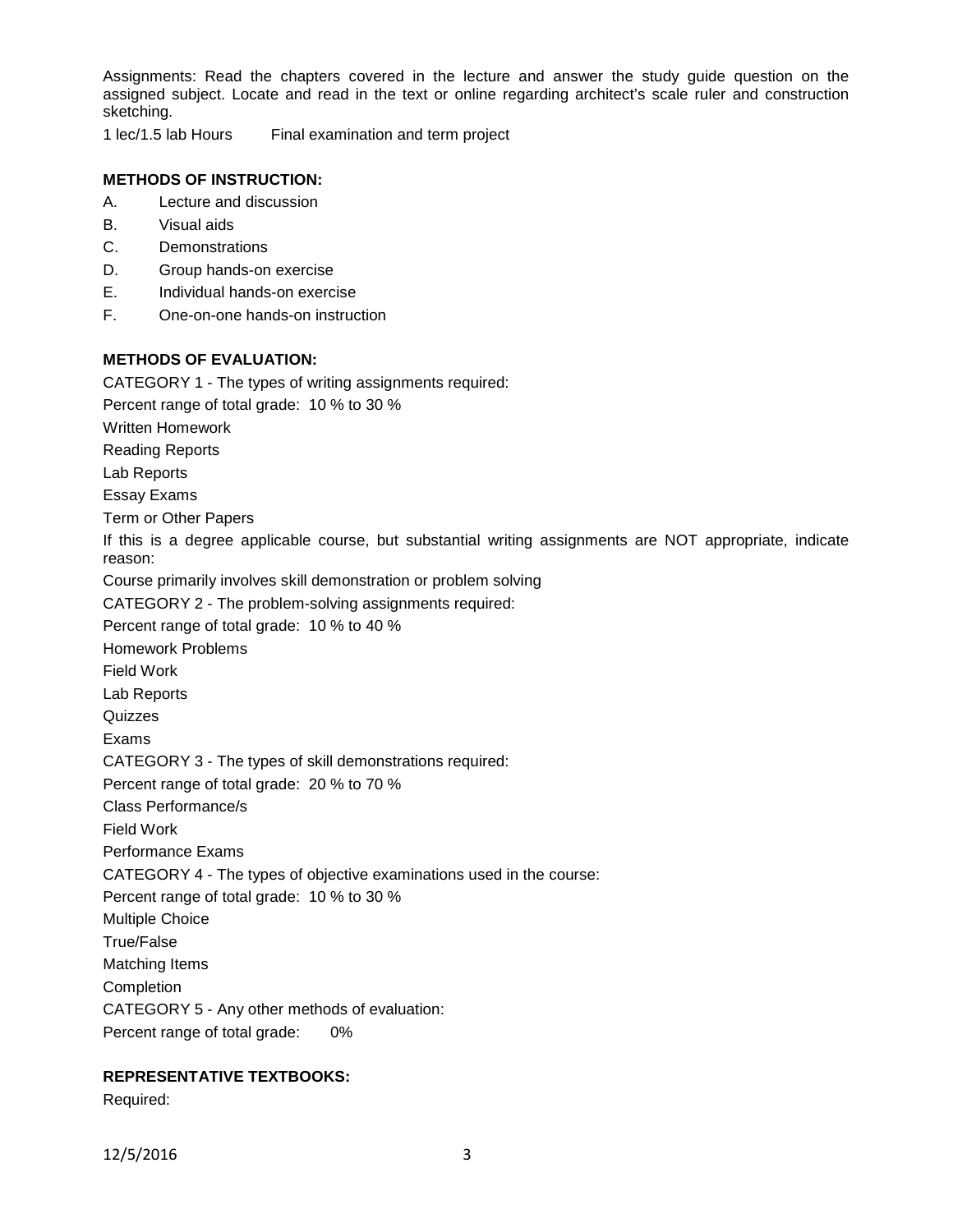Assignments: Read the chapters covered in the lecture and answer the study guide question on the assigned subject. Locate and read in the text or online regarding architect's scale ruler and construction sketching.

1 lec/1.5 lab Hours Final examination and term project

# **METHODS OF INSTRUCTION:**

- A. Lecture and discussion
- B. Visual aids
- C. Demonstrations
- D. Group hands-on exercise
- E. Individual hands-on exercise
- F. One-on-one hands-on instruction

### **METHODS OF EVALUATION:**

CATEGORY 1 - The types of writing assignments required:

Percent range of total grade: 10 % to 30 %

Written Homework

Reading Reports

Lab Reports

Essay Exams

Term or Other Papers

If this is a degree applicable course, but substantial writing assignments are NOT appropriate, indicate reason:

Course primarily involves skill demonstration or problem solving

CATEGORY 2 - The problem-solving assignments required:

Percent range of total grade: 10 % to 40 %

Homework Problems

Field Work

Lab Reports

**Quizzes** 

Exams

CATEGORY 3 - The types of skill demonstrations required:

Percent range of total grade: 20 % to 70 %

Class Performance/s

Field Work

Performance Exams

CATEGORY 4 - The types of objective examinations used in the course:

Percent range of total grade: 10 % to 30 %

Multiple Choice

True/False

Matching Items

**Completion** 

CATEGORY 5 - Any other methods of evaluation:

Percent range of total grade: 0%

## **REPRESENTATIVE TEXTBOOKS:**

Required: